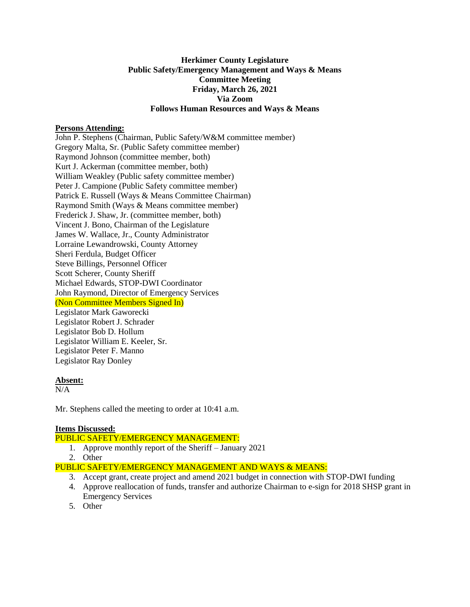# **Herkimer County Legislature Public Safety/Emergency Management and Ways & Means Committee Meeting Friday, March 26, 2021 Via Zoom Follows Human Resources and Ways & Means**

## **Persons Attending:**

John P. Stephens (Chairman, Public Safety/W&M committee member) Gregory Malta, Sr. (Public Safety committee member) Raymond Johnson (committee member, both) Kurt J. Ackerman (committee member, both) William Weakley (Public safety committee member) Peter J. Campione (Public Safety committee member) Patrick E. Russell (Ways & Means Committee Chairman) Raymond Smith (Ways & Means committee member) Frederick J. Shaw, Jr. (committee member, both) Vincent J. Bono, Chairman of the Legislature James W. Wallace, Jr., County Administrator Lorraine Lewandrowski, County Attorney Sheri Ferdula, Budget Officer Steve Billings, Personnel Officer Scott Scherer, County Sheriff Michael Edwards, STOP-DWI Coordinator John Raymond, Director of Emergency Services (Non Committee Members Signed In) Legislator Mark Gaworecki Legislator Robert J. Schrader Legislator Bob D. Hollum Legislator William E. Keeler, Sr. Legislator Peter F. Manno Legislator Ray Donley

## **Absent:**

N/A

Mr. Stephens called the meeting to order at 10:41 a.m.

#### **Items Discussed:**

PUBLIC SAFETY/EMERGENCY MANAGEMENT:

- 1. Approve monthly report of the Sheriff January 2021
- 2. Other

PUBLIC SAFETY/EMERGENCY MANAGEMENT AND WAYS & MEANS:

- 3. Accept grant, create project and amend 2021 budget in connection with STOP-DWI funding
- 4. Approve reallocation of funds, transfer and authorize Chairman to e-sign for 2018 SHSP grant in Emergency Services
- 5. Other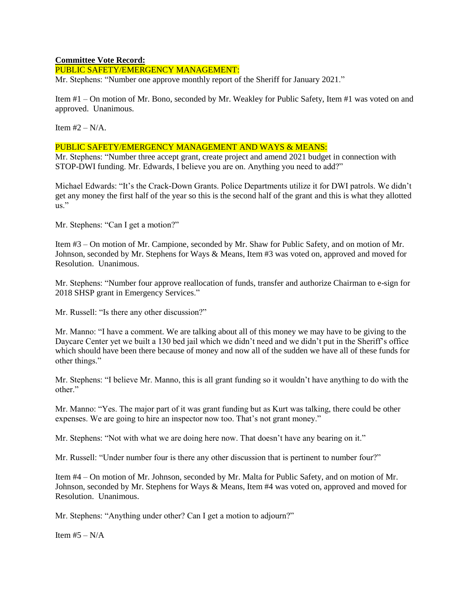### **Committee Vote Record:**

PUBLIC SAFETY/EMERGENCY MANAGEMENT:

Mr. Stephens: "Number one approve monthly report of the Sheriff for January 2021."

Item #1 – On motion of Mr. Bono, seconded by Mr. Weakley for Public Safety, Item #1 was voted on and approved. Unanimous.

Item  $#2 - N/A$ .

### PUBLIC SAFETY/EMERGENCY MANAGEMENT AND WAYS & MEANS:

Mr. Stephens: "Number three accept grant, create project and amend 2021 budget in connection with STOP-DWI funding. Mr. Edwards, I believe you are on. Anything you need to add?"

Michael Edwards: "It's the Crack-Down Grants. Police Departments utilize it for DWI patrols. We didn't get any money the first half of the year so this is the second half of the grant and this is what they allotted  $\overline{\mathbf{u}}$ .

Mr. Stephens: "Can I get a motion?"

Item #3 – On motion of Mr. Campione, seconded by Mr. Shaw for Public Safety, and on motion of Mr. Johnson, seconded by Mr. Stephens for Ways & Means, Item #3 was voted on, approved and moved for Resolution. Unanimous.

Mr. Stephens: "Number four approve reallocation of funds, transfer and authorize Chairman to e-sign for 2018 SHSP grant in Emergency Services."

Mr. Russell: "Is there any other discussion?"

Mr. Manno: "I have a comment. We are talking about all of this money we may have to be giving to the Daycare Center yet we built a 130 bed jail which we didn't need and we didn't put in the Sheriff's office which should have been there because of money and now all of the sudden we have all of these funds for other things."

Mr. Stephens: "I believe Mr. Manno, this is all grant funding so it wouldn't have anything to do with the other."

Mr. Manno: "Yes. The major part of it was grant funding but as Kurt was talking, there could be other expenses. We are going to hire an inspector now too. That's not grant money."

Mr. Stephens: "Not with what we are doing here now. That doesn't have any bearing on it."

Mr. Russell: "Under number four is there any other discussion that is pertinent to number four?"

Item #4 – On motion of Mr. Johnson, seconded by Mr. Malta for Public Safety, and on motion of Mr. Johnson, seconded by Mr. Stephens for Ways & Means, Item #4 was voted on, approved and moved for Resolution. Unanimous.

Mr. Stephens: "Anything under other? Can I get a motion to adjourn?"

Item  $#5 - N/A$